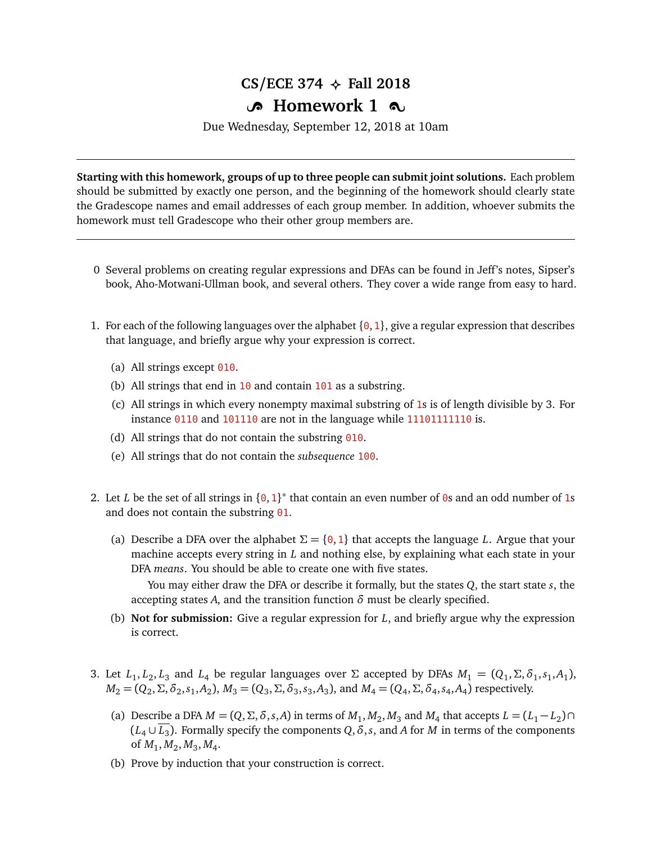## $CS/ECE$  374  $\leftrightarrow$  Fall 2018

## **B** Homework 1  $\infty$

Due Wednesday, September 12, 2018 at 10am

**Starting with this homework, groups of up to three people can submit joint solutions.** Each problem should be submitted by exactly one person, and the beginning of the homework should clearly state the Gradescope names and email addresses of each group member. In addition, whoever submits the homework must tell Gradescope who their other group members are.

- 0 Several problems on creating regular expressions and DFAs can be found in Jeff's notes, Sipser's book, Aho-Motwani-Ullman book, and several others. They cover a wide range from easy to hard.
- 1. For each of the following languages over the alphabet  $\{0, 1\}$ , give a regular expression that describes that language, and briefly argue why your expression is correct.
	- (a) All strings except  $010$ .
	- (b) All strings that end in  $10$  and contain  $101$  as a substring.
	- (c) All strings in which every nonempty maximal substring of 1s is of length divisible by 3. For instance 0110 and 101110 are not in the language while 11101111110 is.
	- (d) All strings that do not contain the substring  $\theta$ 10.
	- (e) All strings that do not contain the *subsequence* 100.
- 2. Let *L* be the set of all strings in  $\{0, 1\}^*$  that contain an even number of 0s and an odd number of 1s and does not contain the substring 01.
	- (a) Describe a DFA over the alphabet  $\Sigma = \{0, 1\}$  that accepts the language *L*. Argue that your machine accepts every string in *L* and nothing else, by explaining what each state in your DFA *means*. You should be able to create one with five states.

You may either draw the DFA or describe it formally, but the states *Q*, the start state *s*, the accepting states A, and the transition function  $\delta$  must be clearly specified.

- (b) **Not for submission:** Give a regular expression for *L*, and briefly argue why the expression is correct.
- 3. Let  $L_1, L_2, L_3$  and  $L_4$  be regular languages over  $\Sigma$  accepted by DFAs  $M_1 = (Q_1, \Sigma, \delta_1, s_1, A_1)$ ,  $M_2 = (Q_2, \Sigma, \delta_2, s_1, A_2), M_3 = (Q_3, \Sigma, \delta_3, s_3, A_3)$ , and  $M_4 = (Q_4, \Sigma, \delta_4, s_4, A_4)$  respectively.
	- (a) Describe a DFA  $M = (Q, \Sigma, \delta, s, A)$  in terms of  $M_1, M_2, M_3$  and  $M_4$  that accepts  $L = (L_1 L_2) \cap$  $(L_4 \cup \overline{L_3})$ . Formally specify the components  $Q, \delta, s$ , and *A* for *M* in terms of the components of  $M_1, M_2, M_3, M_4$ .
	- (b) Prove by induction that your construction is correct.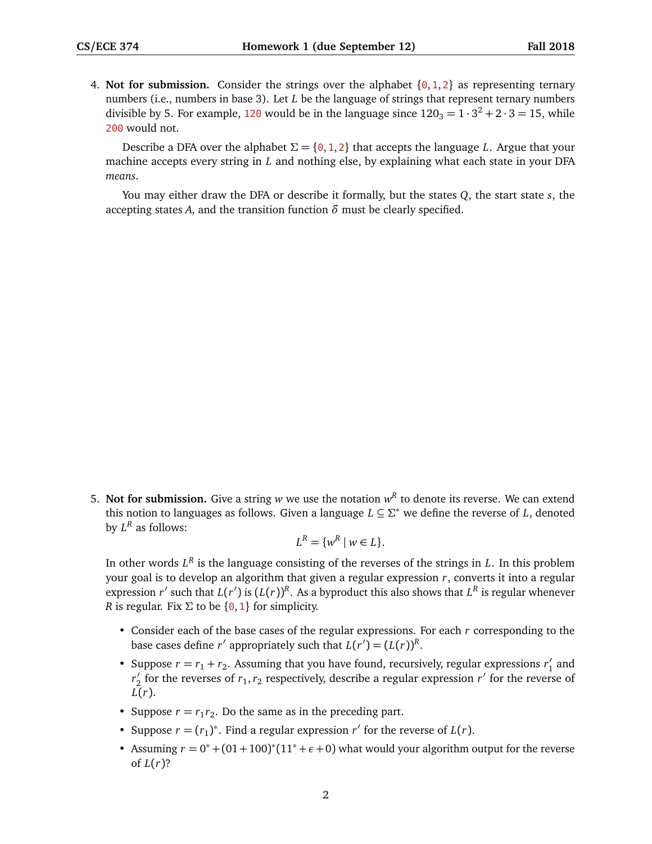4. **Not for submission.** Consider the strings over the alphabet  $\{0, 1, 2\}$  as representing ternary numbers (i.e., numbers in base 3). Let *L* be the language of strings that represent ternary numbers divisible by 5. For example, 120 would be in the language since  $120_3 = 1 \cdot 3^2 + 2 \cdot 3 = 15$ , while 200 would not.

Describe a DFA over the alphabet  $\Sigma = \{0, 1, 2\}$  that accepts the language *L*. Argue that your machine accepts every string in *L* and nothing else, by explaining what each state in your DFA *means*.

You may either draw the DFA or describe it formally, but the states *Q*, the start state *s*, the accepting states A, and the transition function  $\delta$  must be clearly specified.

5. Not for submission. Give a string  $w$  we use the notation  $w<sup>R</sup>$  to denote its reverse. We can extend this notion to languages as follows. Given a language *L* ⊆ *Σ* <sup>∗</sup> we define the reverse of *L*, denoted by  $L^R$  as follows:

$$
L^R = \{w^R \mid w \in L\}.
$$

In other words  $L^R$  is the language consisting of the reverses of the strings in *L*. In this problem your goal is to develop an algorithm that given a regular expression *r*, converts it into a regular expression *r'* such that  $L(r')$  is  $(L(r))^R$ . As a byproduct this also shows that  $L^R$  is regular whenever *R* is regular. Fix  $\Sigma$  to be {0, 1} for simplicity.

- Consider each of the base cases of the regular expressions. For each *r* corresponding to the base cases define *r'* appropriately such that  $L(r') = (L(r))^R$ .
- Suppose  $r = r_1 + r_2$ . Assuming that you have found, recursively, regular expressions  $r'_1$  $\frac{1}{1}$  and r'<sub>2</sub> for the reverses of  $r_1, r_2$  respectively, describe a regular expression  $r'$  for the reverse of *L*(*r*).
- Suppose  $r = r_1 r_2$ . Do the same as in the preceding part.
- Suppose  $r = (r_1)^*$ . Find a regular expression  $r'$  for the reverse of  $L(r)$ .
- Assuming  $r = 0^* + (01 + 100)^* (11^* + \epsilon + 0)$  what would your algorithm output for the reverse of  $L(r)$ ?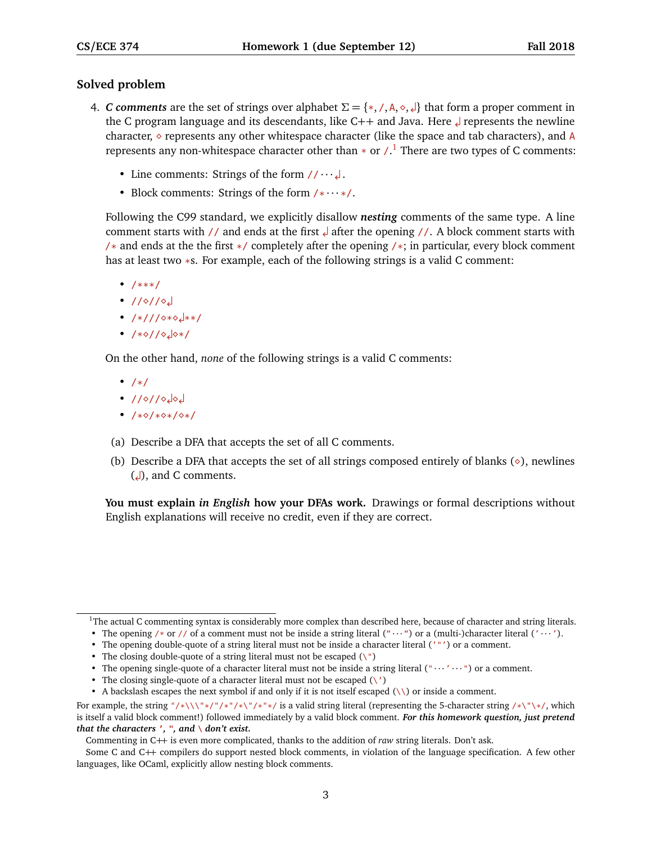## **Solved problem**

- 4. *C* comments are the set of strings over alphabet  $\Sigma = \{*, /, A, \diamond, \diamond, \diamond\}$  that form a proper comment in the C program language and its descendants, like C++ and Java. Here represents the newline character,  $\circ$  represents any other whitespace character (like the space and tab characters), and A represents any non-whitespace character other than  $*$  or  $\Lambda$ <sup>[1](#page-2-0)</sup> There are two types of C comments:
	- Line comments: Strings of the form  $// \cdots \downarrow$ .
	- Block comments: Strings of the form  $/* \cdots */$ .

Following the C99 standard, we explicitly disallow *nesting* comments of the same type. A line comment starts with // and ends at the first after the opening //. A block comment starts with /\* and ends at the the first  $\ast$ / completely after the opening / $\ast$ ; in particular, every block comment has at least two \*s. For example, each of the following strings is a valid C comment:

- $/***/$
- $1/\sqrt{2}$
- $/*///$   $\circ$  \*  $\circ$   $\downarrow$  \* \* /
- $\cdot$  /\*0//040\*/

On the other hand, *none* of the following strings is a valid C comments:

- /\*/
- $1/0/100$
- $/*\diamond$ /\*\*/\*/\*/
- (a) Describe a DFA that accepts the set of all C comments.
- (b) Describe a DFA that accepts the set of all strings composed entirely of blanks  $(\diamond)$ , newlines  $\left(\downarrow\right)$ , and C comments.

**You must explain** *in English* **how your DFAs work.** Drawings or formal descriptions without English explanations will receive no credit, even if they are correct.

<span id="page-2-0"></span><sup>&</sup>lt;sup>1</sup>The actual C commenting syntax is considerably more complex than described here, because of character and string literals.

<sup>•</sup> The opening /\* or // of a comment must not be inside a string literal  $($ " $\cdots$ ") or a (multi-)character literal  $($ " $\cdots$ ").

<sup>•</sup> The opening double-quote of a string literal must not be inside a character literal ('"') or a comment.

<sup>•</sup> The closing double-quote of a string literal must not be escaped  $(\nabla^{\mathbf{n}})$ 

<sup>•</sup> The opening single-quote of a character literal must not be inside a string literal  $($ " $\cdots$ " $\cdots$ " $)$  or a comment.

The closing single-quote of a character literal must not be escaped  $(\nabla')$ 

<sup>•</sup> A backslash escapes the next symbol if and only if it is not itself escaped  $(\setminus)$  or inside a comment.

For example, the string "/\*\\\"\*/"/\*"/\*\"/\*"\*/ is a valid string literal (representing the 5-character string /\*\"\\*/, which is itself a valid block comment!) followed immediately by a valid block comment. *For this homework question, just pretend that the characters* **'***,* **"***, and* **\** *don't exist.*

Commenting in C++ is even more complicated, thanks to the addition of *raw* string literals. Don't ask.

Some C and C++ compilers do support nested block comments, in violation of the language specification. A few other languages, like OCaml, explicitly allow nesting block comments.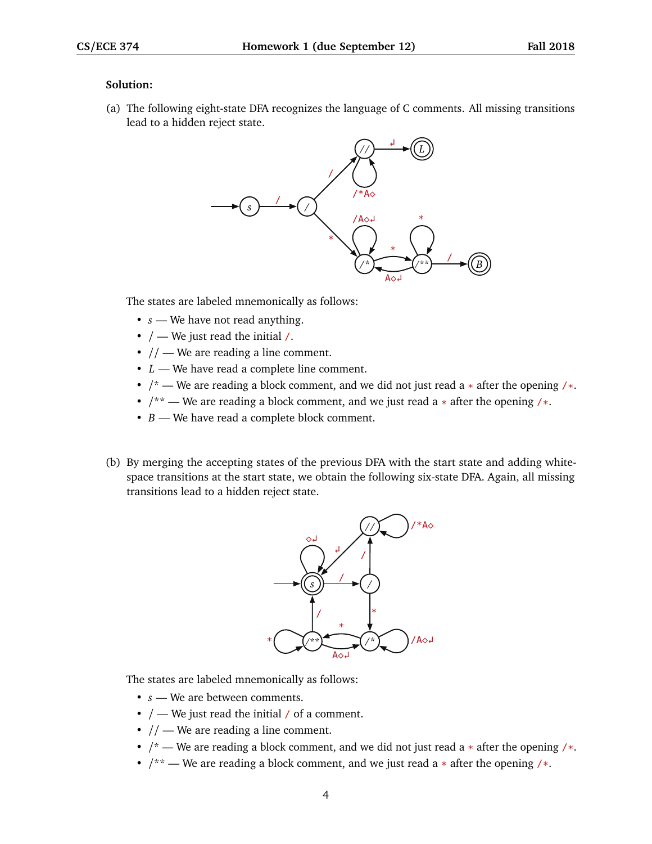## **Solution:**

(a) The following eight-state DFA recognizes the language of C comments. All missing transitions lead to a hidden reject state.



The states are labeled mnemonically as follows:

- *s* We have not read anything.
- $\bullet$  / We just read the initial /.
- $//$  We are reading a line comment.
- *L* We have read a complete line comment.
- $/*$  We are reading a block comment, and we did not just read a  $*$  after the opening / $*$ .
- $/*$  We are reading a block comment, and we just read a  $*$  after the opening / $*$ .
- *B* We have read a complete block comment.
- (b) By merging the accepting states of the previous DFA with the start state and adding whitespace transitions at the start state, we obtain the following six-state DFA. Again, all missing transitions lead to a hidden reject state.



The states are labeled mnemonically as follows:

- *s* We are between comments.
- $/$  We just read the initial  $/$  of a comment.
- $//$  We are reading a line comment.
- $\prime^*$  We are reading a block comment, and we did not just read a  $*$  after the opening  $\prime^*$ .
- $/*$  We are reading a block comment, and we just read a  $*$  after the opening / $*$ .